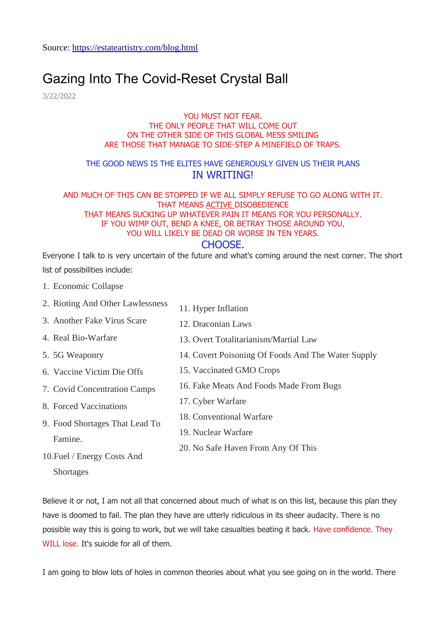# [Gazing Into The Covid-Reset Crystal Ball](https://estateartistry.com/blog/gazing-into-the-covid-reset-crystal-ball)

3/22/2022

#### YOU MUST NOT FEAR. THE ONLY PEOPLE THAT WILL COME OUT ON THE OTHER SIDE OF THIS GLOBAL MESS SMILING ARE THOSE THAT MANAGE TO SIDE-STEP A MINEFIELD OF TRAPS.

### THE GOOD NEWS IS THE ELITES HAVE GENEROUSLY GIVEN US THEIR PLANS IN WRITING!

#### AND MUCH OF THIS CAN BE STOPPED IF WE ALL SIMPLY REFUSE TO GO ALONG WITH IT. THAT MEANS ACTIVE DISOBEDIENCE THAT MEANS SUCKING UP WHATEVER PAIN IT MEANS FOR YOU PERSONALLY. IF YOU WIMP OUT, BEND A KNEE, OR BETRAY THOSE AROUND YOU, YOU WILL LIKELY BE DEAD OR WORSE IN TEN YEARS. CHOOSE.

### Everyone I talk to is very uncertain of the future and what's coming around the next corner. The short list of possibilities include:

1. Economic Collapse

5. 5G Weaponry

Famine.

- 2. Rioting And Other Lawlessness 11. Hyper Inflation
- 3. Another Fake Virus Scare 12. Draconian Laws
- 4. Real Bio-Warfare 13. Overt Totalitarianism/Martial Law
	- 14. Covert Poisoning Of Foods And The Water Supply
- 6. Vaccine Victim Die Offs 15. Vaccinated GMO Crops
	- 16. Fake Meats And Foods Made From Bugs
	- 17. Cyber Warfare
	- 18. Conventional Warfare
		- 19. Nuclear Warfare
	- 20. No Safe Haven From Any Of This
- 10.Fuel / Energy Costs And **Shortages**

7. Covid Concentration Camps

9. Food Shortages That Lead To

8. Forced Vaccinations

Believe it or not, I am not all that concerned about much of what is on this list, because this plan they have is doomed to fail. The plan they have are utterly ridiculous in its sheer audacity. There is no possible way this is going to work, but we will take casualties beating it back. Have confidence. They WILL lose. It's suicide for all of them.

I am going to blow lots of holes in common theories about what you see going on in the world. There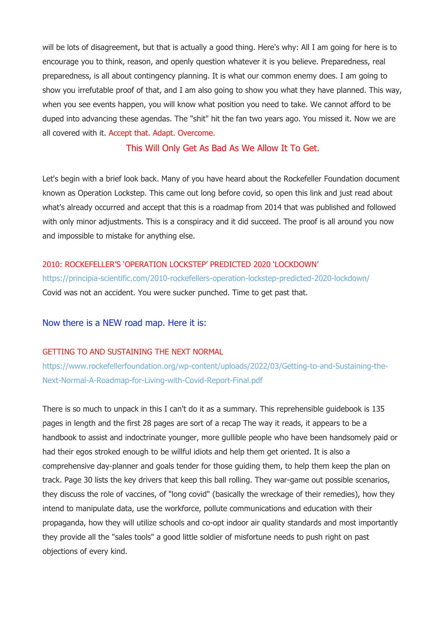will be lots of disagreement, but that is actually a good thing. Here's why: All I am going for here is to encourage you to think, reason, and openly question whatever it is you believe. Preparedness, real preparedness, is all about contingency planning. It is what our common enemy does. I am going to show you irrefutable proof of that, and I am also going to show you what they have planned. This way, when you see events happen, you will know what position you need to take. We cannot afford to be duped into advancing these agendas. The "shit" hit the fan two years ago. You missed it. Now we are all covered with it. Accept that. Adapt. Overcome.

This Will Only Get As Bad As We Allow It To Get.

Let's begin with a brief look back. Many of you have heard about the Rockefeller Foundation document known as Operation Lockstep. This came out long before covid, so open this link and just read about what's already occurred and accept that this is a roadmap from 2014 that was published and followed with only minor adjustments. This is a conspiracy and it did succeed. The proof is all around you now and impossible to mistake for anything else.

#### 2010: ROCKEFELLER'S 'OPERATION LOCKSTEP' PREDICTED 2020 'LOCKDOWN'

<https://principia-scientific.com/2010-rockefellers-operation-lockstep-predicted-2020-lockdown/> Covid was not an accident. You were sucker punched. Time to get past that.

#### Now there is a NEW road map. Here it is:

#### GETTING TO AND SUSTAINING THE NEXT NORMAL

[https://www.rockefellerfoundation.org/wp-content/uploads/2022/03/Getting-to-and-Sustaining-the-](https://www.rockefellerfoundation.org/wp-content/uploads/2022/03/Getting-to-and-Sustaining-the-Next-Normal-A-Roadmap-for-Living-with-Covid-Report-Final.pdf)[Next-Normal-A-Roadmap-for-Living-with-Covid-Report-Final.pdf](https://www.rockefellerfoundation.org/wp-content/uploads/2022/03/Getting-to-and-Sustaining-the-Next-Normal-A-Roadmap-for-Living-with-Covid-Report-Final.pdf)

There is so much to unpack in this I can't do it as a summary. This reprehensible guidebook is 135 pages in length and the first 28 pages are sort of a recap The way it reads, it appears to be a handbook to assist and indoctrinate younger, more gullible people who have been handsomely paid or had their egos stroked enough to be willful idiots and help them get oriented. It is also a comprehensive day-planner and goals tender for those guiding them, to help them keep the plan on track. Page 30 lists the key drivers that keep this ball rolling. They war-game out possible scenarios, they discuss the role of vaccines, of "long covid" (basically the wreckage of their remedies), how they intend to manipulate data, use the workforce, pollute communications and education with their propaganda, how they will utilize schools and co-opt indoor air quality standards and most importantly they provide all the "sales tools" a good little soldier of misfortune needs to push right on past objections of every kind.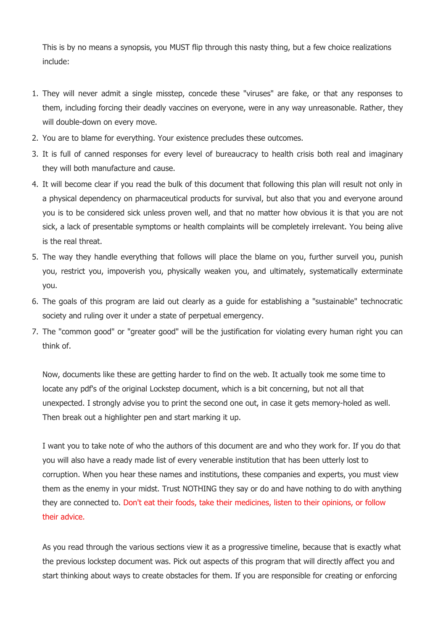This is by no means a synopsis, you MUST flip through this nasty thing, but a few choice realizations include:

- 1. They will never admit a single misstep, concede these "viruses" are fake, or that any responses to them, including forcing their deadly vaccines on everyone, were in any way unreasonable. Rather, they will double-down on every move.
- 2. You are to blame for everything. Your existence precludes these outcomes.
- 3. It is full of canned responses for every level of bureaucracy to health crisis both real and imaginary they will both manufacture and cause.
- 4. It will become clear if you read the bulk of this document that following this plan will result not only in a physical dependency on pharmaceutical products for survival, but also that you and everyone around you is to be considered sick unless proven well, and that no matter how obvious it is that you are not sick, a lack of presentable symptoms or health complaints will be completely irrelevant. You being alive is the real threat.
- 5. The way they handle everything that follows will place the blame on you, further surveil you, punish you, restrict you, impoverish you, physically weaken you, and ultimately, systematically exterminate you.
- 6. The goals of this program are laid out clearly as a guide for establishing a "sustainable" technocratic society and ruling over it under a state of perpetual emergency.
- 7. The "common good" or "greater good" will be the justification for violating every human right you can think of.

Now, documents like these are getting harder to find on the web. It actually took me some time to locate any pdf's of the original Lockstep document, which is a bit concerning, but not all that unexpected. I strongly advise you to print the second one out, in case it gets memory-holed as well. Then break out a highlighter pen and start marking it up.

I want you to take note of who the authors of this document are and who they work for. If you do that you will also have a ready made list of every venerable institution that has been utterly lost to corruption. When you hear these names and institutions, these companies and experts, you must view them as the enemy in your midst. Trust NOTHING they say or do and have nothing to do with anything they are connected to. Don't eat their foods, take their medicines, listen to their opinions, or follow their advice.

As you read through the various sections view it as a progressive timeline, because that is exactly what the previous lockstep document was. Pick out aspects of this program that will directly affect you and start thinking about ways to create obstacles for them. If you are responsible for creating or enforcing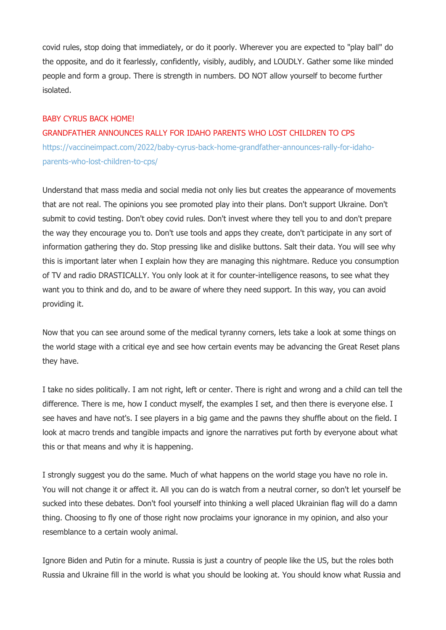covid rules, stop doing that immediately, or do it poorly. Wherever you are expected to "play ball" do the opposite, and do it fearlessly, confidently, visibly, audibly, and LOUDLY. Gather some like minded people and form a group. There is strength in numbers. DO NOT allow yourself to become further isolated.

#### BABY CYRUS BACK HOME!

#### GRANDFATHER ANNOUNCES RALLY FOR IDAHO PARENTS WHO LOST CHILDREN TO CPS

[https://vaccineimpact.com/2022/baby-cyrus-back-home-grandfather-announces-rally-for-idaho](https://vaccineimpact.com/2022/baby-cyrus-back-home-grandfather-announces-rally-for-idaho-parents-who-lost-children-to-cps/)[parents-who-lost-children-to-cps/](https://vaccineimpact.com/2022/baby-cyrus-back-home-grandfather-announces-rally-for-idaho-parents-who-lost-children-to-cps/)

Understand that mass media and social media not only lies but creates the appearance of movements that are not real. The opinions you see promoted play into their plans. Don't support Ukraine. Don't submit to covid testing. Don't obey covid rules. Don't invest where they tell you to and don't prepare the way they encourage you to. Don't use tools and apps they create, don't participate in any sort of information gathering they do. Stop pressing like and dislike buttons. Salt their data. You will see why this is important later when I explain how they are managing this nightmare. Reduce you consumption of TV and radio DRASTICALLY. You only look at it for counter-intelligence reasons, to see what they want you to think and do, and to be aware of where they need support. In this way, you can avoid providing it.

Now that you can see around some of the medical tyranny corners, lets take a look at some things on the world stage with a critical eye and see how certain events may be advancing the Great Reset plans they have.

I take no sides politically. I am not right, left or center. There is right and wrong and a child can tell the difference. There is me, how I conduct myself, the examples I set, and then there is everyone else. I see haves and have not's. I see players in a big game and the pawns they shuffle about on the field. I look at macro trends and tangible impacts and ignore the narratives put forth by everyone about what this or that means and why it is happening.

I strongly suggest you do the same. Much of what happens on the world stage you have no role in. You will not change it or affect it. All you can do is watch from a neutral corner, so don't let yourself be sucked into these debates. Don't fool yourself into thinking a well placed Ukrainian flag will do a damn thing. Choosing to fly one of those right now proclaims your ignorance in my opinion, and also your resemblance to a certain wooly animal.

Ignore Biden and Putin for a minute. Russia is just a country of people like the US, but the roles both Russia and Ukraine fill in the world is what you should be looking at. You should know what Russia and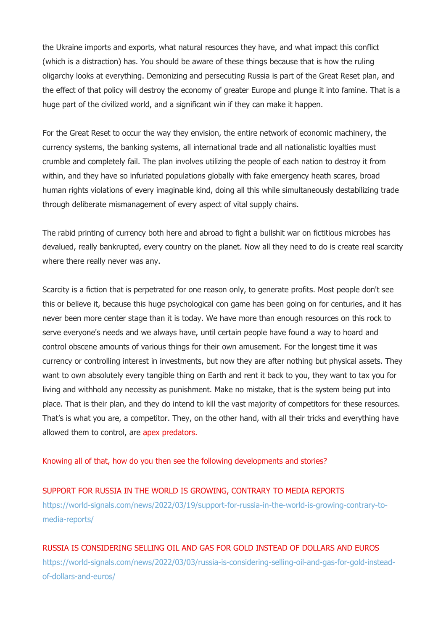the Ukraine imports and exports, what natural resources they have, and what impact this conflict (which is a distraction) has. You should be aware of these things because that is how the ruling oligarchy looks at everything. Demonizing and persecuting Russia is part of the Great Reset plan, and the effect of that policy will destroy the economy of greater Europe and plunge it into famine. That is a huge part of the civilized world, and a significant win if they can make it happen.

For the Great Reset to occur the way they envision, the entire network of economic machinery, the currency systems, the banking systems, all international trade and all nationalistic loyalties must crumble and completely fail. The plan involves utilizing the people of each nation to destroy it from within, and they have so infuriated populations globally with fake emergency heath scares, broad human rights violations of every imaginable kind, doing all this while simultaneously destabilizing trade through deliberate mismanagement of every aspect of vital supply chains.

The rabid printing of currency both here and abroad to fight a bullshit war on fictitious microbes has devalued, really bankrupted, every country on the planet. Now all they need to do is create real scarcity where there really never was any.

Scarcity is a fiction that is perpetrated for one reason only, to generate profits. Most people don't see this or believe it, because this huge psychological con game has been going on for centuries, and it has never been more center stage than it is today. We have more than enough resources on this rock to serve everyone's needs and we always have, until certain people have found a way to hoard and control obscene amounts of various things for their own amusement. For the longest time it was currency or controlling interest in investments, but now they are after nothing but physical assets. They want to own absolutely every tangible thing on Earth and rent it back to you, they want to tax you for living and withhold any necessity as punishment. Make no mistake, that is the system being put into place. That is their plan, and they do intend to kill the vast majority of competitors for these resources. That's is what you are, a competitor. They, on the other hand, with all their tricks and everything have allowed them to control, are apex predators.

Knowing all of that, how do you then see the following developments and stories?

#### SUPPORT FOR RUSSIA IN THE WORLD IS GROWING, CONTRARY TO MEDIA REPORTS

[https://world-signals.com/news/2022/03/19/support-for-russia-in-the-world-is-growing-contrary-to](https://world-signals.com/news/2022/03/19/support-for-russia-in-the-world-is-growing-contrary-to-media-reports/)[media-reports/](https://world-signals.com/news/2022/03/19/support-for-russia-in-the-world-is-growing-contrary-to-media-reports/)

RUSSIA IS CONSIDERING SELLING OIL AND GAS FOR GOLD INSTEAD OF DOLLARS AND EUROS [https://world-signals.com/news/2022/03/03/russia-is-considering-selling-oil-and-gas-for-gold-instead](https://world-signals.com/news/2022/03/03/russia-is-considering-selling-oil-and-gas-for-gold-instead-of-dollars-and-euros/)[of-dollars-and-euros/](https://world-signals.com/news/2022/03/03/russia-is-considering-selling-oil-and-gas-for-gold-instead-of-dollars-and-euros/)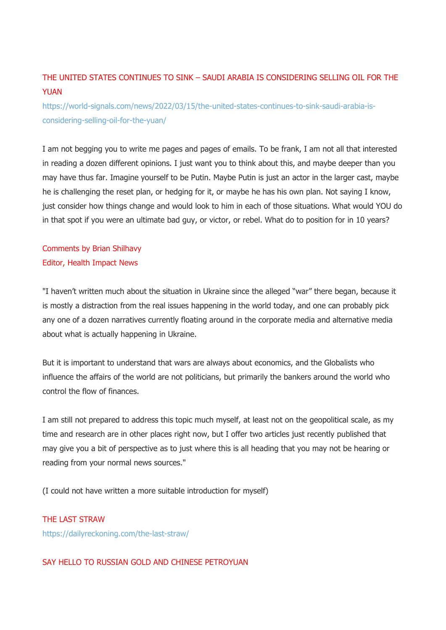# THE UNITED STATES CONTINUES TO SINK – SAUDI ARABIA IS CONSIDERING SELLING OIL FOR THE YUAN

[https://world-signals.com/news/2022/03/15/the-united-states-continues-to-sink-saudi-arabia-is](https://world-signals.com/news/2022/03/15/the-united-states-continues-to-sink-saudi-arabia-is-considering-selling-oil-for-the-yuan/)[considering-selling-oil-for-the-yuan/](https://world-signals.com/news/2022/03/15/the-united-states-continues-to-sink-saudi-arabia-is-considering-selling-oil-for-the-yuan/)

I am not begging you to write me pages and pages of emails. To be frank, I am not all that interested in reading a dozen different opinions. I just want you to think about this, and maybe deeper than you may have thus far. Imagine yourself to be Putin. Maybe Putin is just an actor in the larger cast, maybe he is challenging the reset plan, or hedging for it, or maybe he has his own plan. Not saying I know, just consider how things change and would look to him in each of those situations. What would YOU do in that spot if you were an ultimate bad guy, or victor, or rebel. What do to position for in 10 years?

Comments by Brian Shilhavy Editor, Health Impact News

"I haven't written much about the situation in Ukraine since the alleged "war" there began, because it is mostly a distraction from the real issues happening in the world today, and one can probably pick any one of a dozen narratives currently floating around in the corporate media and alternative media about what is actually happening in Ukraine.

But it is important to understand that wars are always about economics, and the Globalists who influence the affairs of the world are not politicians, but primarily the bankers around the world who control the flow of finances.

I am still not prepared to address this topic much myself, at least not on the geopolitical scale, as my time and research are in other places right now, but I offer two articles just recently published that may give you a bit of perspective as to just where this is all heading that you may not be hearing or reading from your normal news sources."

(I could not have written a more suitable introduction for myself)

#### THE LAST STRAW

<https://dailyreckoning.com/the-last-straw/>

### SAY HELLO TO RUSSIAN GOLD AND CHINESE PETROYUAN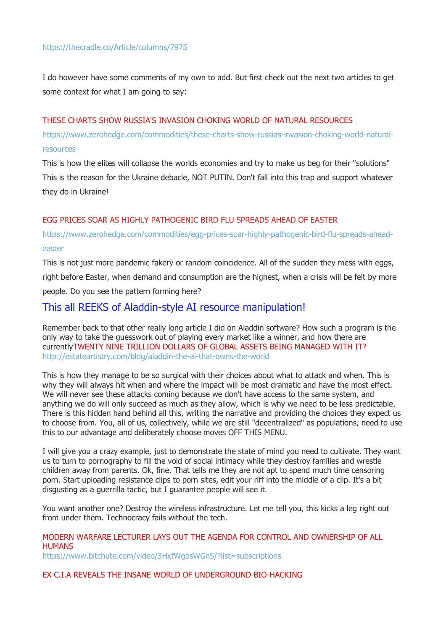### <https://thecradle.co/Article/columns/7975>

I do however have some comments of my own to add. But first check out the next two articles to get some context for what I am going to say:

#### THESE CHARTS SHOW RUSSIA'S INVASION CHOKING WORLD OF NATURAL RESOURCES

[https://www.zerohedge.com/commodities/these-charts-show-russias-invasion-choking-world-natural](https://www.zerohedge.com/commodities/these-charts-show-russias-invasion-choking-world-natural-resources)[resources](https://www.zerohedge.com/commodities/these-charts-show-russias-invasion-choking-world-natural-resources)

This is how the elites will collapse the worlds economies and try to make us beg for their "solutions" This is the reason for the Ukraine debacle, NOT PUTIN. Don't fall into this trap and support whatever they do in Ukraine!

#### EGG PRICES SOAR AS HIGHLY PATHOGENIC BIRD FLU SPREADS AHEAD OF EASTER

### [https://www.zerohedge.com/commodities/egg-prices-soar-highly-pathogenic-bird-flu-spreads-ahead](https://www.zerohedge.com/commodities/egg-prices-soar-highly-pathogenic-bird-flu-spreads-ahead-easter)[easter](https://www.zerohedge.com/commodities/egg-prices-soar-highly-pathogenic-bird-flu-spreads-ahead-easter)

This is not just more pandemic fakery or random coincidence. All of the sudden they mess with eggs,

right before Easter, when demand and consumption are the highest, when a crisis will be felt by more

people. Do you see the pattern forming here?

### This all REEKS of Aladdin-style AI resource manipulation!

Remember back to that other really long article I did on Aladdin software? How such a program is the only way to take the guesswork out of playing every market like a winner, and how there are currentlyTWENTY NINE TRILLION DOLLARS OF GLOBAL ASSETS BEING MANAGED WITH IT? <http://estateartistry.com/blog/aladdin-the-ai-that-owns-the-world>

This is how they manage to be so surgical with their choices about what to attack and when. This is why they will always hit when and where the impact will be most dramatic and have the most effect. We will never see these attacks coming because we don't have access to the same system, and anything we do will only succeed as much as they allow, which is why we need to be less predictable. There is this hidden hand behind all this, writing the narrative and providing the choices they expect us to choose from. You, all of us, collectively, while we are still "decentralized" as populations, need to use this to our advantage and deliberately choose moves OFF THIS MENU.

I will give you a crazy example, just to demonstrate the state of mind you need to cultivate. They want us to turn to pornography to fill the void of social intimacy while they destroy families and wrestle children away from parents. Ok, fine. That tells me they are not apt to spend much time censoring porn. Start uploading resistance clips to porn sites, edit your riff into the middle of a clip. It's a bit disgusting as a guerrilla tactic, but I guarantee people will see it.

You want another one? Destroy the wireless infrastructure. Let me tell you, this kicks a leg right out from under them. Technocracy fails without the tech.

#### MODERN WARFARE LECTURER LAYS OUT THE AGENDA FOR CONTROL AND OWNERSHIP OF ALL **HUMANS**

<https://www.bitchute.com/video/3HxfWgbsWGnS/?list=subscriptions>

#### EX C.I.A REVEALS THE INSANE WORLD OF UNDERGROUND BIO-HACKING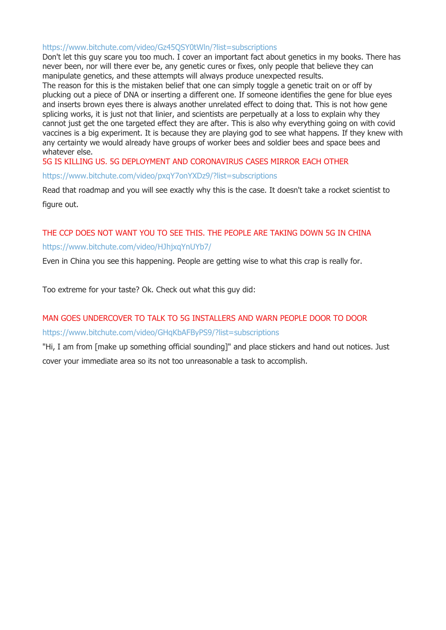#### <https://www.bitchute.com/video/Gz45QSY0tWln/?list=subscriptions>

Don't let this guy scare you too much. I cover an important fact about genetics in my books. There has never been, nor will there ever be, any genetic cures or fixes, only people that believe they can manipulate genetics, and these attempts will always produce unexpected results.

The reason for this is the mistaken belief that one can simply toggle a genetic trait on or off by plucking out a piece of DNA or inserting a different one. If someone identifies the gene for blue eyes and inserts brown eyes there is always another unrelated effect to doing that. This is not how gene splicing works, it is just not that linier, and scientists are perpetually at a loss to explain why they cannot just get the one targeted effect they are after. This is also why everything going on with covid vaccines is a big experiment. It is because they are playing god to see what happens. If they knew with any certainty we would already have groups of worker bees and soldier bees and space bees and whatever else.

#### 5G IS KILLING US. 5G DEPLOYMENT AND CORONAVIRUS CASES MIRROR EACH OTHER

<https://www.bitchute.com/video/pxqY7onYXDz9/?list=subscriptions>

Read that roadmap and you will see exactly why this is the case. It doesn't take a rocket scientist to figure out.

### THE CCP DOES NOT WANT YOU TO SEE THIS. THE PEOPLE ARE TAKING DOWN 5G IN CHINA <https://www.bitchute.com/video/HJhjxqYnUYb7/>

Even in China you see this happening. People are getting wise to what this crap is really for.

Too extreme for your taste? Ok. Check out what this guy did:

# MAN GOES UNDERCOVER TO TALK TO 5G INSTALLERS AND WARN PEOPLE DOOR TO DOOR <https://www.bitchute.com/video/GHqKbAFByPS9/?list=subscriptions>

"Hi, I am from [make up something official sounding]" and place stickers and hand out notices. Just cover your immediate area so its not too unreasonable a task to accomplish.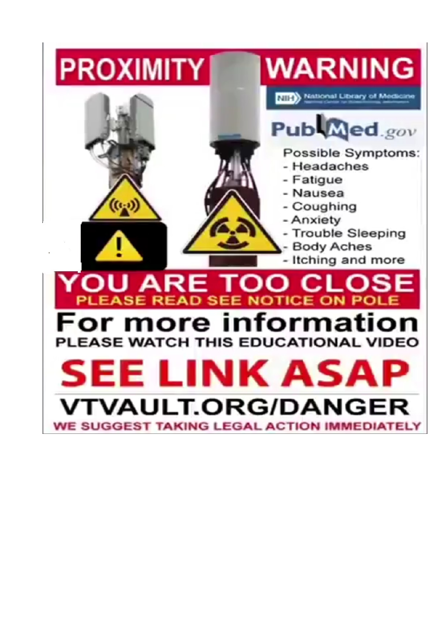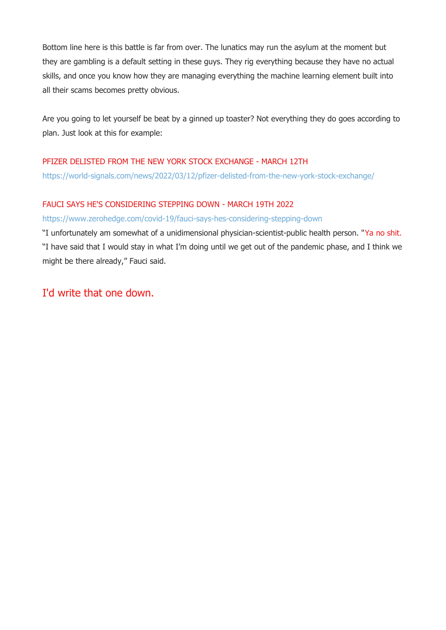Bottom line here is this battle is far from over. The lunatics may run the asylum at the moment but they are gambling is a default setting in these guys. They rig everything because they have no actual skills, and once you know how they are managing everything the machine learning element built into all their scams becomes pretty obvious.

Are you going to let yourself be beat by a ginned up toaster? Not everything they do goes according to plan. Just look at this for example:

### PFIZER DELISTED FROM THE NEW YORK STOCK EXCHANGE - MARCH 12TH

<https://world-signals.com/news/2022/03/12/pfizer-delisted-from-the-new-york-stock-exchange/>

### FAUCI SAYS HE'S CONSIDERING STEPPING DOWN - MARCH 19TH 2022

### <https://www.zerohedge.com/covid-19/fauci-says-hes-considering-stepping-down>

"I unfortunately am somewhat of a unidimensional physician-scientist-public health person. "Ya no shit. "I have said that I would stay in what I'm doing until we get out of the pandemic phase, and I think we might be there already," Fauci said.

# I'd write that one down.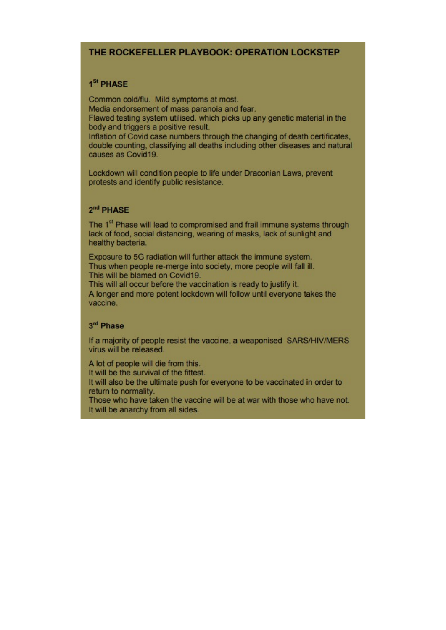### THE ROCKEFELLER PLAYBOOK: OPERATION LOCKSTEP

#### 1<sup>St</sup> PHASE

Common cold/flu. Mild symptoms at most. Media endorsement of mass paranoia and fear.

Flawed testing system utilised, which picks up any genetic material in the body and triggers a positive result.

Inflation of Covid case numbers through the changing of death certificates. double counting, classifying all deaths including other diseases and natural causes as Covid19.

Lockdown will condition people to life under Draconian Laws, prevent protests and identify public resistance.

#### 2<sup>nd</sup> PHASE

The 1<sup>st</sup> Phase will lead to compromised and frail immune systems through lack of food, social distancing, wearing of masks, lack of sunlight and healthy bacteria.

Exposure to 5G radiation will further attack the immune system. Thus when people re-merge into society, more people will fall ill. This will be blamed on Covid19.

This will all occur before the vaccination is ready to justify it. A longer and more potent lockdown will follow until everyone takes the vaccine.

### 3rd Phase

If a majority of people resist the vaccine, a weaponised SARS/HIV/MERS virus will be released.

A lot of people will die from this.

It will be the survival of the fittest.

It will also be the ultimate push for everyone to be vaccinated in order to return to normality.

Those who have taken the vaccine will be at war with those who have not. It will be anarchy from all sides.